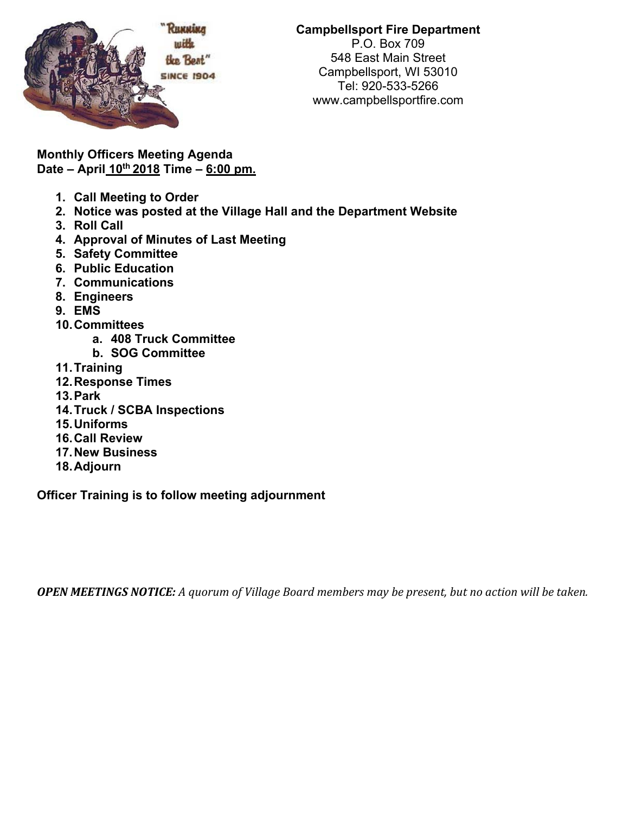

**Monthly Officers Meeting Agenda Date – April 10th 2018 Time – 6:00 pm.** 

- **1. Call Meeting to Order**
- **2. Notice was posted at the Village Hall and the Department Website**
- **3. Roll Call**
- **4. Approval of Minutes of Last Meeting**
- **5. Safety Committee**
- **6. Public Education**
- **7. Communications**
- **8. Engineers**
- **9. EMS**
- **10. Committees** 
	- **a. 408 Truck Committee**
	- **b. SOG Committee**
- **11. Training**
- **12. Response Times**
- **13. Park**
- **14. Truck / SCBA Inspections**
- **15. Uniforms**
- **16. Call Review**
- **17. New Business**
- **18. Adjourn**

**Officer Training is to follow meeting adjournment** 

**OPEN MEETINGS NOTICE:** A quorum of Village Board members may be present, but no action will be taken.